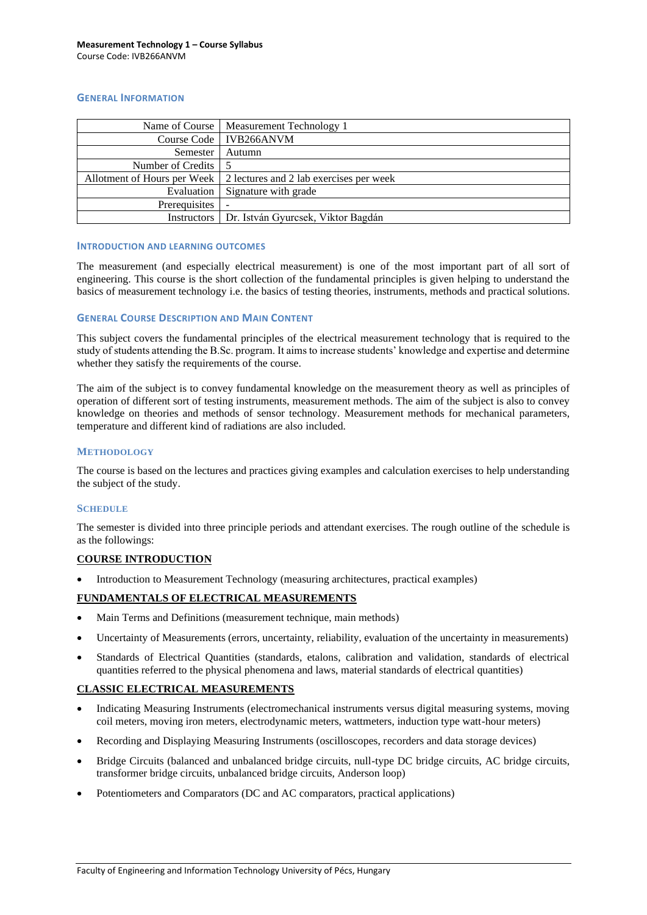## **GENERAL INFORMATION**

|                     | Name of Course   Measurement Technology 1                             |  |  |  |
|---------------------|-----------------------------------------------------------------------|--|--|--|
|                     | Course Code   IVB266ANVM                                              |  |  |  |
| Semester            | Autumn                                                                |  |  |  |
| Number of Credits 5 |                                                                       |  |  |  |
|                     | Allotment of Hours per Week   2 lectures and 2 lab exercises per week |  |  |  |
| Evaluation          | Signature with grade                                                  |  |  |  |
| Prerequisites       |                                                                       |  |  |  |
| Instructors         | Dr. István Gyurcsek, Viktor Bagdán                                    |  |  |  |

#### **INTRODUCTION AND LEARNING OUTCOMES**

The measurement (and especially electrical measurement) is one of the most important part of all sort of engineering. This course is the short collection of the fundamental principles is given helping to understand the basics of measurement technology i.e. the basics of testing theories, instruments, methods and practical solutions.

### **GENERAL COURSE DESCRIPTION AND MAIN CONTENT**

This subject covers the fundamental principles of the electrical measurement technology that is required to the study of students attending the B.Sc. program. It aims to increase students' knowledge and expertise and determine whether they satisfy the requirements of the course.

The aim of the subject is to convey fundamental knowledge on the measurement theory as well as principles of operation of different sort of testing instruments, measurement methods. The aim of the subject is also to convey knowledge on theories and methods of sensor technology. Measurement methods for mechanical parameters, temperature and different kind of radiations are also included.

#### **METHODOLOGY**

The course is based on the lectures and practices giving examples and calculation exercises to help understanding the subject of the study.

#### **SCHEDULE**

The semester is divided into three principle periods and attendant exercises. The rough outline of the schedule is as the followings:

# **COURSE INTRODUCTION**

• Introduction to Measurement Technology (measuring architectures, practical examples)

## **FUNDAMENTALS OF ELECTRICAL MEASUREMENTS**

- Main Terms and Definitions (measurement technique, main methods)
- Uncertainty of Measurements (errors, uncertainty, reliability, evaluation of the uncertainty in measurements)
- Standards of Electrical Quantities (standards, etalons, calibration and validation, standards of electrical quantities referred to the physical phenomena and laws, material standards of electrical quantities)

## **CLASSIC ELECTRICAL MEASUREMENTS**

- Indicating Measuring Instruments (electromechanical instruments versus digital measuring systems, moving coil meters, moving iron meters, electrodynamic meters, wattmeters, induction type watt-hour meters)
- Recording and Displaying Measuring Instruments (oscilloscopes, recorders and data storage devices)
- Bridge Circuits (balanced and unbalanced bridge circuits, null-type DC bridge circuits, AC bridge circuits, transformer bridge circuits, unbalanced bridge circuits, Anderson loop)
- Potentiometers and Comparators (DC and AC comparators, practical applications)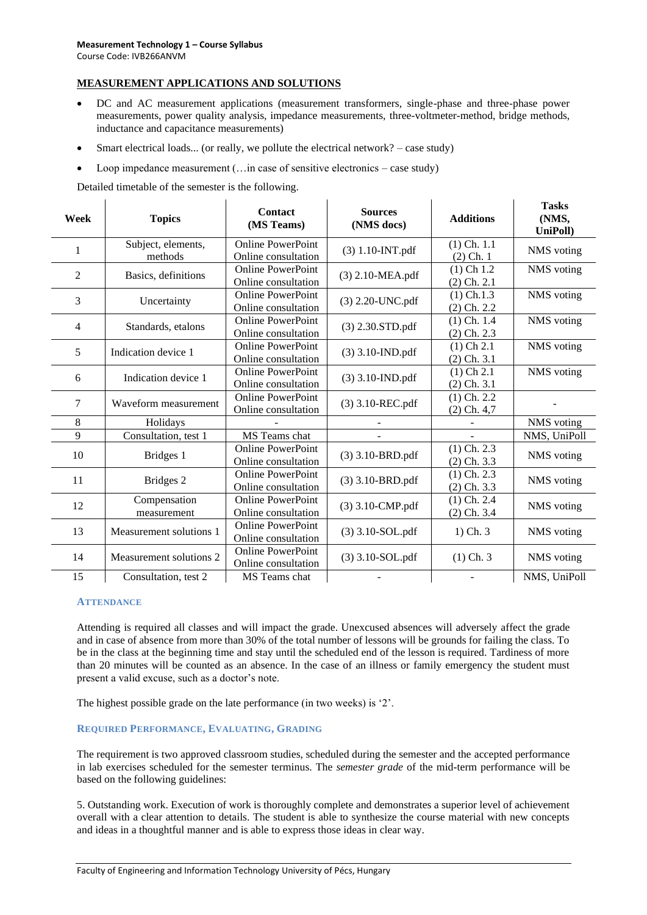# **MEASUREMENT APPLICATIONS AND SOLUTIONS**

- DC and AC measurement applications (measurement transformers, single-phase and three-phase power measurements, power quality analysis, impedance measurements, three-voltmeter-method, bridge methods, inductance and capacitance measurements)
- Smart electrical loads... (or really, we pollute the electrical network? case study)
- Loop impedance measurement (...in case of sensitive electronics case study)

Detailed timetable of the semester is the following.

| Week           | <b>Topics</b>                 | Contact<br>(MS Teams)                           | <b>Sources</b><br>(NMS docs) | <b>Additions</b>                | <b>Tasks</b><br>(NMS,<br>UniPoll) |
|----------------|-------------------------------|-------------------------------------------------|------------------------------|---------------------------------|-----------------------------------|
| 1              | Subject, elements,<br>methods | <b>Online PowerPoint</b><br>Online consultation | $(3)$ 1.10-INT.pdf           | $(1)$ Ch. $1.1$<br>$(2)$ Ch. 1  | NMS voting                        |
| $\overline{2}$ | Basics, definitions           | <b>Online PowerPoint</b><br>Online consultation | (3) 2.10-MEA.pdf             | $(1)$ Ch 1.2<br>$(2)$ Ch. $2.1$ | NMS voting                        |
| 3              | Uncertainty                   | <b>Online PowerPoint</b><br>Online consultation | (3) 2.20-UNC.pdf             | $(1)$ Ch.1.3<br>$(2)$ Ch. 2.2   | NMS voting                        |
| $\overline{4}$ | Standards, etalons            | <b>Online PowerPoint</b><br>Online consultation | $(3)$ 2.30.STD.pdf           | $(1)$ Ch. 1.4<br>$(2)$ Ch. 2.3  | NMS voting                        |
| 5              | Indication device 1           | <b>Online PowerPoint</b><br>Online consultation | $(3)$ 3.10-IND.pdf           | $(1)$ Ch 2.1<br>$(2)$ Ch. 3.1   | NMS voting                        |
| 6              | Indication device 1           | <b>Online PowerPoint</b><br>Online consultation | $(3)$ 3.10-IND.pdf           | $(1)$ Ch 2.1<br>$(2)$ Ch. 3.1   | NMS voting                        |
| 7              | Waveform measurement          | <b>Online PowerPoint</b><br>Online consultation | (3) 3.10-REC.pdf             | $(1)$ Ch. 2.2<br>$(2)$ Ch. 4,7  |                                   |
| 8              | Holidays                      |                                                 |                              |                                 | NMS voting                        |
| 9              | Consultation, test 1          | MS Teams chat                                   |                              |                                 | NMS, UniPoll                      |
| 10             | Bridges 1                     | <b>Online PowerPoint</b><br>Online consultation | (3) 3.10-BRD.pdf             | $(1)$ Ch. 2.3<br>$(2)$ Ch. 3.3  | NMS voting                        |
| 11             | Bridges 2                     | <b>Online PowerPoint</b><br>Online consultation | (3) 3.10-BRD.pdf             | $(1)$ Ch. 2.3<br>$(2)$ Ch. 3.3  | NMS voting                        |
| 12             | Compensation<br>measurement   | <b>Online PowerPoint</b><br>Online consultation | (3) 3.10-CMP.pdf             | $(1)$ Ch. 2.4<br>$(2)$ Ch. 3.4  | NMS voting                        |
| 13             | Measurement solutions 1       | <b>Online PowerPoint</b><br>Online consultation | (3) 3.10-SOL.pdf             | $1)$ Ch. $3$                    | NMS voting                        |
| 14             | Measurement solutions 2       | <b>Online PowerPoint</b><br>Online consultation | (3) 3.10-SOL.pdf             | $(1)$ Ch. 3                     | NMS voting                        |
| 15             | Consultation, test 2          | MS Teams chat                                   |                              |                                 | NMS, UniPoll                      |

#### **ATTENDANCE**

Attending is required all classes and will impact the grade. Unexcused absences will adversely affect the grade and in case of absence from more than 30% of the total number of lessons will be grounds for failing the class. To be in the class at the beginning time and stay until the scheduled end of the lesson is required. Tardiness of more than 20 minutes will be counted as an absence. In the case of an illness or family emergency the student must present a valid excuse, such as a doctor's note.

The highest possible grade on the late performance (in two weeks) is '2'.

## **REQUIRED PERFORMANCE, EVALUATING, GRADING**

The requirement is two approved classroom studies, scheduled during the semester and the accepted performance in lab exercises scheduled for the semester terminus. The *semester grade* of the mid-term performance will be based on the following guidelines:

5. Outstanding work. Execution of work is thoroughly complete and demonstrates a superior level of achievement overall with a clear attention to details. The student is able to synthesize the course material with new concepts and ideas in a thoughtful manner and is able to express those ideas in clear way.